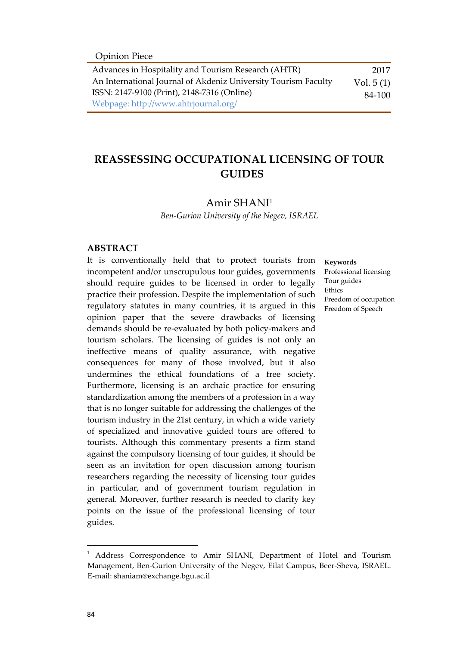| Advances in Hospitality and Tourism Research (AHTR)            | 2017        |
|----------------------------------------------------------------|-------------|
| An International Journal of Akdeniz University Tourism Faculty | Vol. $5(1)$ |
| ISSN: 2147-9100 (Print), 2148-7316 (Online)                    | 84-100      |
| Webpage: http://www.ahtrjournal.org/                           |             |

# **REASSESSING OCCUPATIONAL LICENSING OF TOUR GUIDES**

## Amir SHANI<sup>1</sup>

*Ben-Gurion University of the Negev, ISRAEL*

## **ABSTRACT**

It is conventionally held that to protect tourists from incompetent and/or unscrupulous tour guides, governments should require guides to be licensed in order to legally practice their profession. Despite the implementation of such regulatory statutes in many countries, it is argued in this opinion paper that the severe drawbacks of licensing demands should be re-evaluated by both policy-makers and tourism scholars. The licensing of guides is not only an ineffective means of quality assurance, with negative consequences for many of those involved, but it also undermines the ethical foundations of a free society. Furthermore, licensing is an archaic practice for ensuring standardization among the members of a profession in a way that is no longer suitable for addressing the challenges of the tourism industry in the 21st century, in which a wide variety of specialized and innovative guided tours are offered to tourists. Although this commentary presents a firm stand against the compulsory licensing of tour guides, it should be seen as an invitation for open discussion among tourism researchers regarding the necessity of licensing tour guides in particular, and of government tourism regulation in general. Moreover, further research is needed to clarify key points on the issue of the professional licensing of tour guides.

#### **Keywords**

Professional licensing Tour guides Ethics Freedom of occupation Freedom of Speech

 $\overline{a}$ 

<sup>&</sup>lt;sup>1</sup> Address Correspondence to Amir SHANI, Department of Hotel and Tourism Management, Ben-Gurion University of the Negev, Eilat Campus, Beer-Sheva, ISRAEL. E-mail: shaniam@exchange.bgu.ac.il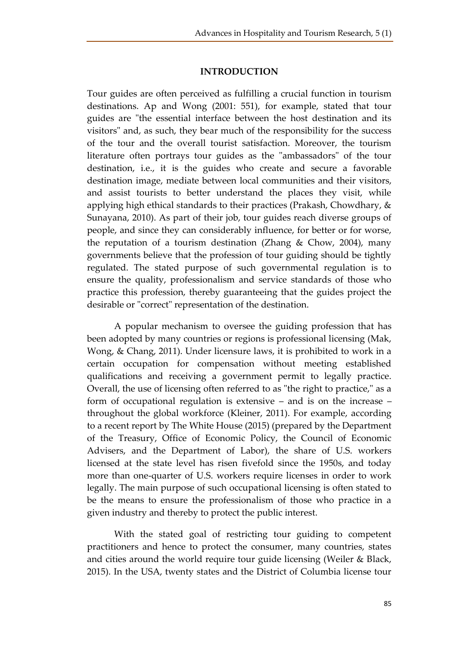# **INTRODUCTION**

Tour guides are often perceived as fulfilling a crucial function in tourism destinations. Ap and Wong (2001: 551), for example, stated that tour guides are "the essential interface between the host destination and its visitors" and, as such, they bear much of the responsibility for the success of the tour and the overall tourist satisfaction. Moreover, the tourism literature often portrays tour guides as the "ambassadors" of the tour destination, i.e., it is the guides who create and secure a favorable destination image, mediate between local communities and their visitors, and assist tourists to better understand the places they visit, while applying high ethical standards to their practices (Prakash, Chowdhary, & Sunayana, 2010). As part of their job, tour guides reach diverse groups of people, and since they can considerably influence, for better or for worse, the reputation of a tourism destination (Zhang & Chow, 2004), many governments believe that the profession of tour guiding should be tightly regulated. The stated purpose of such governmental regulation is to ensure the quality, professionalism and service standards of those who practice this profession, thereby guaranteeing that the guides project the desirable or "correct" representation of the destination.

A popular mechanism to oversee the guiding profession that has been adopted by many countries or regions is professional licensing (Mak, Wong, & Chang, 2011). Under licensure laws, it is prohibited to work in a certain occupation for compensation without meeting established qualifications and receiving a government permit to legally practice. Overall, the use of licensing often referred to as "the right to practice," as a form of occupational regulation is extensive – and is on the increase – throughout the global workforce (Kleiner, 2011). For example, according to a recent report by The White House (2015) (prepared by the Department of the Treasury, Office of Economic Policy, the Council of Economic Advisers, and the Department of Labor), the share of U.S. workers licensed at the state level has risen fivefold since the 1950s, and today more than one-quarter of U.S. workers require licenses in order to work legally. The main purpose of such occupational licensing is often stated to be the means to ensure the professionalism of those who practice in a given industry and thereby to protect the public interest.

With the stated goal of restricting tour guiding to competent practitioners and hence to protect the consumer, many countries, states and cities around the world require tour guide licensing (Weiler & Black, 2015). In the USA, twenty states and the District of Columbia license tour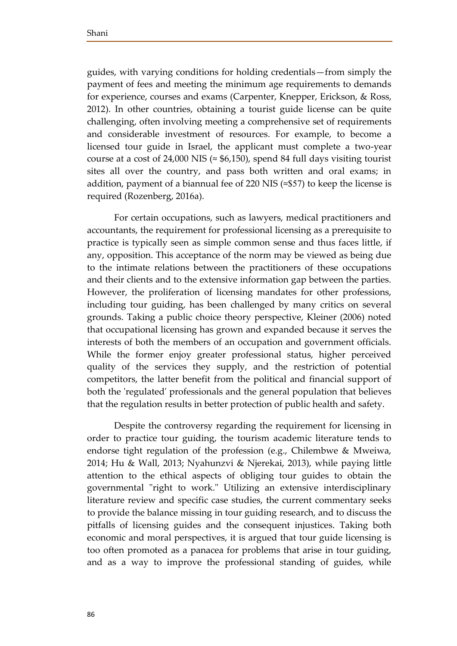guides, with varying conditions for holding credentials—from simply the payment of fees and meeting the minimum age requirements to demands for experience, courses and exams (Carpenter, Knepper, Erickson, & Ross, 2012). In other countries, obtaining a tourist guide license can be quite challenging, often involving meeting a comprehensive set of requirements and considerable investment of resources. For example, to become a licensed tour guide in Israel, the applicant must complete a two-year course at a cost of 24,000 NIS ( $\approx$  \$6,150), spend 84 full days visiting tourist sites all over the country, and pass both written and oral exams; in addition, payment of a biannual fee of 220 NIS ( $\approx$ \$57) to keep the license is required (Rozenberg, 2016a).

For certain occupations, such as lawyers, medical practitioners and accountants, the requirement for professional licensing as a prerequisite to practice is typically seen as simple common sense and thus faces little, if any, opposition. This acceptance of the norm may be viewed as being due to the intimate relations between the practitioners of these occupations and their clients and to the extensive information gap between the parties. However, the proliferation of licensing mandates for other professions, including tour guiding, has been challenged by many critics on several grounds. Taking a public choice theory perspective, Kleiner (2006) noted that occupational licensing has grown and expanded because it serves the interests of both the members of an occupation and government officials. While the former enjoy greater professional status, higher perceived quality of the services they supply, and the restriction of potential competitors, the latter benefit from the political and financial support of both the 'regulated' professionals and the general population that believes that the regulation results in better protection of public health and safety.

Despite the controversy regarding the requirement for licensing in order to practice tour guiding, the tourism academic literature tends to endorse tight regulation of the profession (e.g., Chilembwe & Mweiwa, 2014; Hu & Wall, 2013; Nyahunzvi & Njerekai, 2013), while paying little attention to the ethical aspects of obliging tour guides to obtain the governmental "right to work." Utilizing an extensive interdisciplinary literature review and specific case studies, the current commentary seeks to provide the balance missing in tour guiding research, and to discuss the pitfalls of licensing guides and the consequent injustices. Taking both economic and moral perspectives, it is argued that tour guide licensing is too often promoted as a panacea for problems that arise in tour guiding, and as a way to improve the professional standing of guides, while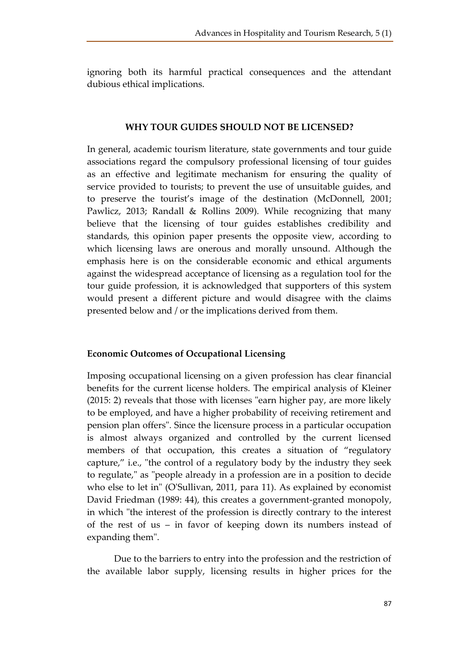ignoring both its harmful practical consequences and the attendant dubious ethical implications.

#### **WHY TOUR GUIDES SHOULD NOT BE LICENSED?**

In general, academic tourism literature, state governments and tour guide associations regard the compulsory professional licensing of tour guides as an effective and legitimate mechanism for ensuring the quality of service provided to tourists; to prevent the use of unsuitable guides, and to preserve the tourist's image of the destination (McDonnell, 2001; Pawlicz, 2013; Randall & Rollins 2009). While recognizing that many believe that the licensing of tour guides establishes credibility and standards, this opinion paper presents the opposite view, according to which licensing laws are onerous and morally unsound. Although the emphasis here is on the considerable economic and ethical arguments against the widespread acceptance of licensing as a regulation tool for the tour guide profession, it is acknowledged that supporters of this system would present a different picture and would disagree with the claims presented below and / or the implications derived from them.

## **Economic Outcomes of Occupational Licensing**

Imposing occupational licensing on a given profession has clear financial benefits for the current license holders. The empirical analysis of Kleiner (2015: 2) reveals that those with licenses "earn higher pay, are more likely to be employed, and have a higher probability of receiving retirement and pension plan offers". Since the licensure process in a particular occupation is almost always organized and controlled by the current licensed members of that occupation, this creates a situation of "regulatory capture," i.e., "the control of a regulatory body by the industry they seek to regulate," as "people already in a profession are in a position to decide who else to let in" (O'Sullivan, 2011, para 11). As explained by economist David Friedman (1989: 44), this creates a government-granted monopoly, in which "the interest of the profession is directly contrary to the interest of the rest of us – in favor of keeping down its numbers instead of expanding them".

Due to the barriers to entry into the profession and the restriction of the available labor supply, licensing results in higher prices for the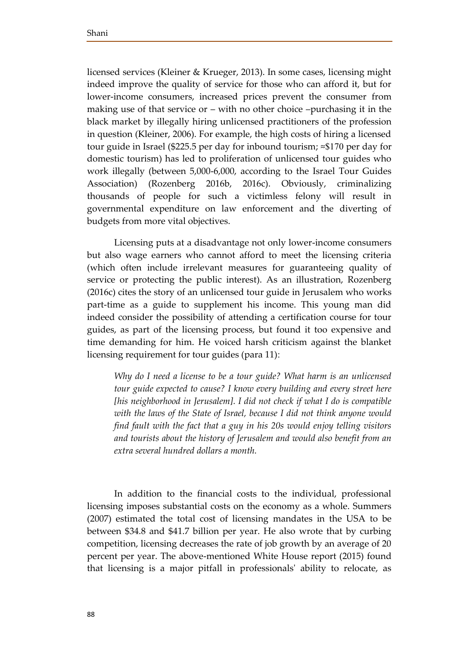licensed services (Kleiner & Krueger, 2013). In some cases, licensing might indeed improve the quality of service for those who can afford it, but for lower-income consumers, increased prices prevent the consumer from making use of that service or – with no other choice –purchasing it in the black market by illegally hiring unlicensed practitioners of the profession in question (Kleiner, 2006). For example, the high costs of hiring a licensed tour guide in Israel (\$225.5 per day for inbound tourism;  $\approx$ \$170 per day for domestic tourism) has led to proliferation of unlicensed tour guides who work illegally (between 5,000-6,000, according to the Israel Tour Guides Association) (Rozenberg 2016b, 2016c). Obviously, criminalizing thousands of people for such a victimless felony will result in governmental expenditure on law enforcement and the diverting of budgets from more vital objectives.

Licensing puts at a disadvantage not only lower-income consumers but also wage earners who cannot afford to meet the licensing criteria (which often include irrelevant measures for guaranteeing quality of service or protecting the public interest). As an illustration, Rozenberg (2016c) cites the story of an unlicensed tour guide in Jerusalem who works part-time as a guide to supplement his income. This young man did indeed consider the possibility of attending a certification course for tour guides, as part of the licensing process, but found it too expensive and time demanding for him. He voiced harsh criticism against the blanket licensing requirement for tour guides (para 11):

*Why do I need a license to be a tour guide? What harm is an unlicensed tour guide expected to cause? I know every building and every street here [his neighborhood in Jerusalem]. I did not check if what I do is compatible with the laws of the State of Israel, because I did not think anyone would find fault with the fact that a guy in his 20s would enjoy telling visitors and tourists about the history of Jerusalem and would also benefit from an extra several hundred dollars a month.* 

In addition to the financial costs to the individual, professional licensing imposes substantial costs on the economy as a whole. Summers (2007) estimated the total cost of licensing mandates in the USA to be between \$34.8 and \$41.7 billion per year. He also wrote that by curbing competition, licensing decreases the rate of job growth by an average of 20 percent per year. The above-mentioned White House report (2015) found that licensing is a major pitfall in professionals' ability to relocate, as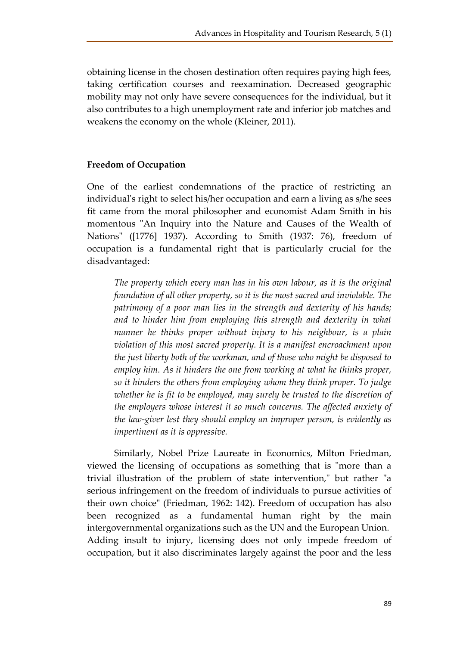obtaining license in the chosen destination often requires paying high fees, taking certification courses and reexamination. Decreased geographic mobility may not only have severe consequences for the individual, but it also contributes to a high unemployment rate and inferior job matches and weakens the economy on the whole (Kleiner, 2011).

# **Freedom of Occupation**

One of the earliest condemnations of the practice of restricting an individual's right to select his/her occupation and earn a living as s/he sees fit came from the moral philosopher and economist Adam Smith in his momentous "An Inquiry into the Nature and Causes of the Wealth of Nations" ([1776] 1937). According to Smith (1937: 76), freedom of occupation is a fundamental right that is particularly crucial for the disadvantaged:

*The property which every man has in his own labour, as it is the original foundation of all other property, so it is the most sacred and inviolable. The patrimony of a poor man lies in the strength and dexterity of his hands; and to hinder him from employing this strength and dexterity in what manner he thinks proper without injury to his neighbour, is a plain violation of this most sacred property. It is a manifest encroachment upon the just liberty both of the workman, and of those who might be disposed to employ him. As it hinders the one from working at what he thinks proper, so it hinders the others from employing whom they think proper. To judge whether he is fit to be employed, may surely be trusted to the discretion of the employers whose interest it so much concerns. The affected anxiety of the law-giver lest they should employ an improper person, is evidently as impertinent as it is oppressive.*

Similarly, Nobel Prize Laureate in Economics, Milton Friedman, viewed the licensing of occupations as something that is "more than a trivial illustration of the problem of state intervention," but rather "a serious infringement on the freedom of individuals to pursue activities of their own choice" (Friedman, 1962: 142). Freedom of occupation has also been recognized as a fundamental human right by the main intergovernmental organizations such as the UN and the European Union. Adding insult to injury, licensing does not only impede freedom of occupation, but it also discriminates largely against the poor and the less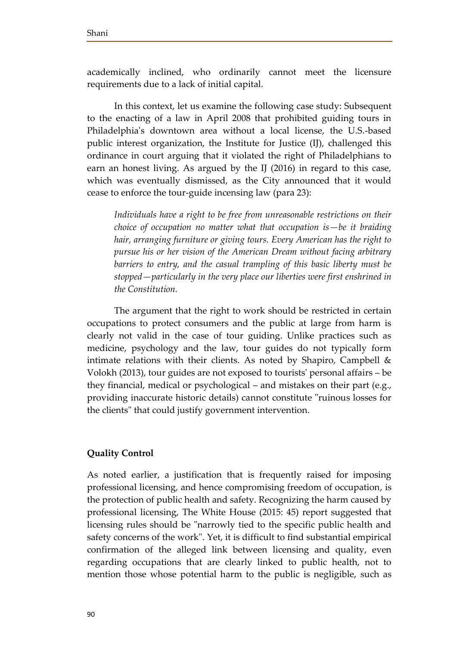academically inclined, who ordinarily cannot meet the licensure requirements due to a lack of initial capital.

In this context, let us examine the following case study: Subsequent to the enacting of a law in April 2008 that prohibited guiding tours in Philadelphia's downtown area without a local license, the U.S.-based public interest organization, the Institute for Justice (IJ), challenged this ordinance in court arguing that it violated the right of Philadelphians to earn an honest living. As argued by the IJ (2016) in regard to this case, which was eventually dismissed, as the City announced that it would cease to enforce the tour-guide incensing law (para 23):

*Individuals have a right to be free from unreasonable restrictions on their choice of occupation no matter what that occupation is—be it braiding hair, arranging furniture or giving tours. Every American has the right to pursue his or her vision of the American Dream without facing arbitrary barriers to entry, and the casual trampling of this basic liberty must be stopped—particularly in the very place our liberties were first enshrined in the Constitution.* 

The argument that the right to work should be restricted in certain occupations to protect consumers and the public at large from harm is clearly not valid in the case of tour guiding. Unlike practices such as medicine, psychology and the law, tour guides do not typically form intimate relations with their clients. As noted by Shapiro, Campbell & Volokh (2013), tour guides are not exposed to tourists' personal affairs – be they financial, medical or psychological – and mistakes on their part (e.g., providing inaccurate historic details) cannot constitute "ruinous losses for the clients" that could justify government intervention.

## **Quality Control**

As noted earlier, a justification that is frequently raised for imposing professional licensing, and hence compromising freedom of occupation, is the protection of public health and safety. Recognizing the harm caused by professional licensing, The White House (2015: 45) report suggested that licensing rules should be "narrowly tied to the specific public health and safety concerns of the work". Yet, it is difficult to find substantial empirical confirmation of the alleged link between licensing and quality, even regarding occupations that are clearly linked to public health, not to mention those whose potential harm to the public is negligible, such as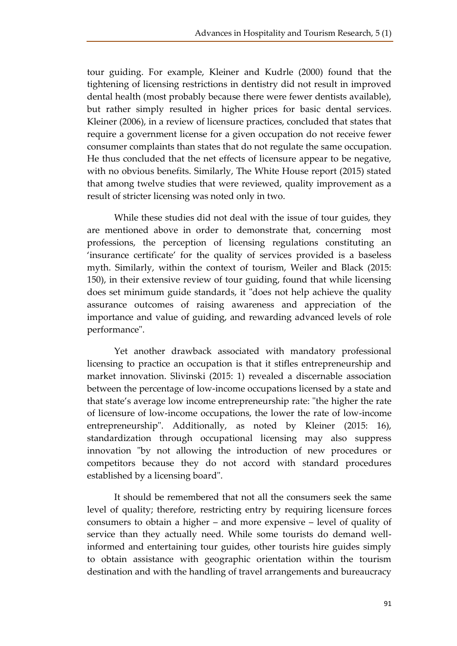tour guiding. For example, Kleiner and Kudrle (2000) found that the tightening of licensing restrictions in dentistry did not result in improved dental health (most probably because there were fewer dentists available), but rather simply resulted in higher prices for basic dental services. Kleiner (2006), in a review of licensure practices, concluded that states that require a government license for a given occupation do not receive fewer consumer complaints than states that do not regulate the same occupation. He thus concluded that the net effects of licensure appear to be negative, with no obvious benefits. Similarly, The White House report (2015) stated that among twelve studies that were reviewed, quality improvement as a result of stricter licensing was noted only in two.

While these studies did not deal with the issue of tour guides, they are mentioned above in order to demonstrate that, concerning most professions, the perception of licensing regulations constituting an 'insurance certificate' for the quality of services provided is a baseless myth. Similarly, within the context of tourism, Weiler and Black (2015: 150), in their extensive review of tour guiding, found that while licensing does set minimum guide standards, it "does not help achieve the quality assurance outcomes of raising awareness and appreciation of the importance and value of guiding, and rewarding advanced levels of role performance".

Yet another drawback associated with mandatory professional licensing to practice an occupation is that it stifles entrepreneurship and market innovation. Slivinski (2015: 1) revealed a discernable association between the percentage of low-income occupations licensed by a state and that state's average low income entrepreneurship rate: "the higher the rate of licensure of low-income occupations, the lower the rate of low-income entrepreneurship". Additionally, as noted by Kleiner (2015: 16), standardization through occupational licensing may also suppress innovation "by not allowing the introduction of new procedures or competitors because they do not accord with standard procedures established by a licensing board".

It should be remembered that not all the consumers seek the same level of quality; therefore, restricting entry by requiring licensure forces consumers to obtain a higher – and more expensive – level of quality of service than they actually need. While some tourists do demand wellinformed and entertaining tour guides, other tourists hire guides simply to obtain assistance with geographic orientation within the tourism destination and with the handling of travel arrangements and bureaucracy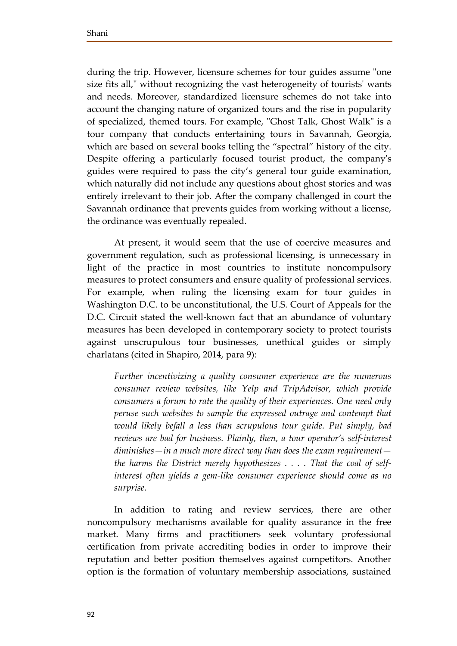during the trip. However, licensure schemes for tour guides assume "one size fits all," without recognizing the vast heterogeneity of tourists' wants and needs. Moreover, standardized licensure schemes do not take into account the changing nature of organized tours and the rise in popularity of specialized, themed tours. For example, "Ghost Talk, Ghost Walk" is a tour company that conducts entertaining tours in Savannah, Georgia, which are based on several books telling the "spectral" history of the city. Despite offering a particularly focused tourist product, the company's guides were required to pass the city's general tour guide examination, which naturally did not include any questions about ghost stories and was entirely irrelevant to their job. After the company challenged in court the Savannah ordinance that prevents guides from working without a license, the ordinance was eventually repealed.

At present, it would seem that the use of coercive measures and government regulation, such as professional licensing, is unnecessary in light of the practice in most countries to institute noncompulsory measures to protect consumers and ensure quality of professional services. For example, when ruling the licensing exam for tour guides in Washington D.C. to be unconstitutional, the U.S. Court of Appeals for the D.C. Circuit stated the well-known fact that an abundance of voluntary measures has been developed in contemporary society to protect tourists against unscrupulous tour businesses, unethical guides or simply charlatans (cited in Shapiro, 2014, para 9):

*Further incentivizing a quality consumer experience are the numerous consumer review websites, like Yelp and TripAdvisor, which provide consumers a forum to rate the quality of their experiences. One need only peruse such websites to sample the expressed outrage and contempt that would likely befall a less than scrupulous tour guide. Put simply, bad reviews are bad for business. Plainly, then, a tour operator's self-interest diminishes—in a much more direct way than does the exam requirement the harms the District merely hypothesizes . . . . That the coal of selfinterest often yields a gem-like consumer experience should come as no surprise.* 

In addition to rating and review services, there are other noncompulsory mechanisms available for quality assurance in the free market. Many firms and practitioners seek voluntary professional certification from private accrediting bodies in order to improve their reputation and better position themselves against competitors. Another option is the formation of voluntary membership associations, sustained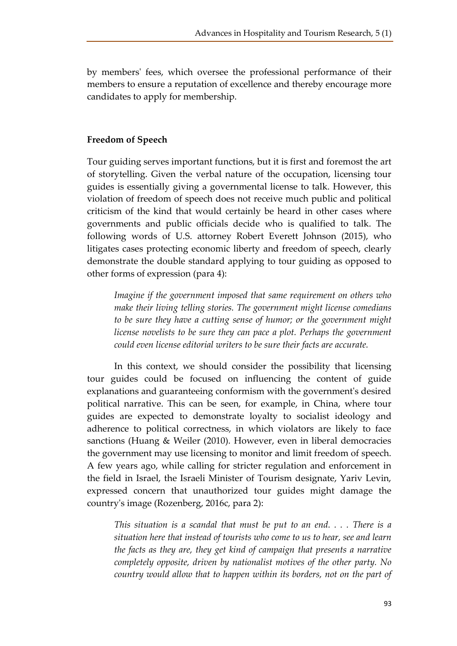by members' fees, which oversee the professional performance of their members to ensure a reputation of excellence and thereby encourage more candidates to apply for membership.

# **Freedom of Speech**

Tour guiding serves important functions, but it is first and foremost the art of storytelling. Given the verbal nature of the occupation, licensing tour guides is essentially giving a governmental license to talk. However, this violation of freedom of speech does not receive much public and political criticism of the kind that would certainly be heard in other cases where governments and public officials decide who is qualified to talk. The following words of U.S. attorney Robert Everett Johnson (2015), who litigates cases protecting economic liberty and freedom of speech, clearly demonstrate the double standard applying to tour guiding as opposed to other forms of expression (para 4):

*Imagine if the government imposed that same requirement on others who make their living telling stories. The government might license comedians to be sure they have a cutting sense of humor; or the government might license novelists to be sure they can pace a plot. Perhaps the government could even license editorial writers to be sure their facts are accurate.*

In this context, we should consider the possibility that licensing tour guides could be focused on influencing the content of guide explanations and guaranteeing conformism with the government's desired political narrative. This can be seen, for example, in China, where tour guides are expected to demonstrate loyalty to socialist ideology and adherence to political correctness, in which violators are likely to face sanctions (Huang & Weiler (2010). However, even in liberal democracies the government may use licensing to monitor and limit freedom of speech. A few years ago, while calling for stricter regulation and enforcement in the field in Israel, the Israeli Minister of Tourism designate, Yariv Levin, expressed concern that unauthorized tour guides might damage the country's image (Rozenberg, 2016c, para 2):

*This situation is a scandal that must be put to an end. . . . There is a situation here that instead of tourists who come to us to hear, see and learn the facts as they are, they get kind of campaign that presents a narrative completely opposite, driven by nationalist motives of the other party. No country would allow that to happen within its borders, not on the part of*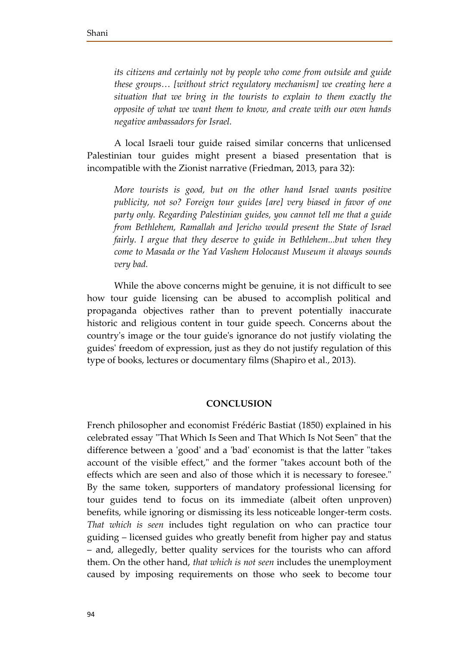*its citizens and certainly not by people who come from outside and guide these groups… [without strict regulatory mechanism] we creating here a situation that we bring in the tourists to explain to them exactly the opposite of what we want them to know, and create with our own hands negative ambassadors for Israel.* 

A local Israeli tour guide raised similar concerns that unlicensed Palestinian tour guides might present a biased presentation that is incompatible with the Zionist narrative (Friedman, 2013, para 32):

*More tourists is good, but on the other hand Israel wants positive publicity, not so? Foreign tour guides [are] very biased in favor of one party only. Regarding Palestinian guides, you cannot tell me that a guide from Bethlehem, Ramallah and Jericho would present the State of Israel fairly. I argue that they deserve to guide in Bethlehem...but when they come to Masada or the Yad Vashem Holocaust Museum it always sounds very bad.* 

While the above concerns might be genuine, it is not difficult to see how tour guide licensing can be abused to accomplish political and propaganda objectives rather than to prevent potentially inaccurate historic and religious content in tour guide speech. Concerns about the country's image or the tour guide's ignorance do not justify violating the guides' freedom of expression, just as they do not justify regulation of this type of books, lectures or documentary films (Shapiro et al., 2013).

## **CONCLUSION**

French philosopher and economist Frédéric Bastiat (1850) explained in his celebrated essay "That Which Is Seen and That Which Is Not Seen" that the difference between a 'good' and a 'bad' economist is that the latter "takes account of the visible effect," and the former "takes account both of the effects which are seen and also of those which it is necessary to foresee." By the same token, supporters of mandatory professional licensing for tour guides tend to focus on its immediate (albeit often unproven) benefits, while ignoring or dismissing its less noticeable longer-term costs. *That which is seen* includes tight regulation on who can practice tour guiding – licensed guides who greatly benefit from higher pay and status – and, allegedly, better quality services for the tourists who can afford them. On the other hand, *that which is not seen* includes the unemployment caused by imposing requirements on those who seek to become tour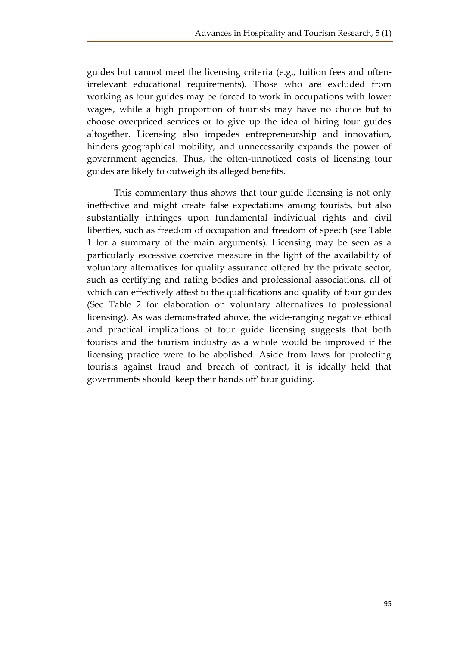guides but cannot meet the licensing criteria (e.g., tuition fees and oftenirrelevant educational requirements). Those who are excluded from working as tour guides may be forced to work in occupations with lower wages, while a high proportion of tourists may have no choice but to choose overpriced services or to give up the idea of hiring tour guides altogether. Licensing also impedes entrepreneurship and innovation, hinders geographical mobility, and unnecessarily expands the power of government agencies. Thus, the often-unnoticed costs of licensing tour guides are likely to outweigh its alleged benefits.

This commentary thus shows that tour guide licensing is not only ineffective and might create false expectations among tourists, but also substantially infringes upon fundamental individual rights and civil liberties, such as freedom of occupation and freedom of speech (see Table 1 for a summary of the main arguments). Licensing may be seen as a particularly excessive coercive measure in the light of the availability of voluntary alternatives for quality assurance offered by the private sector, such as certifying and rating bodies and professional associations, all of which can effectively attest to the qualifications and quality of tour guides (See Table 2 for elaboration on voluntary alternatives to professional licensing). As was demonstrated above, the wide-ranging negative ethical and practical implications of tour guide licensing suggests that both tourists and the tourism industry as a whole would be improved if the licensing practice were to be abolished. Aside from laws for protecting tourists against fraud and breach of contract, it is ideally held that governments should 'keep their hands off' tour guiding.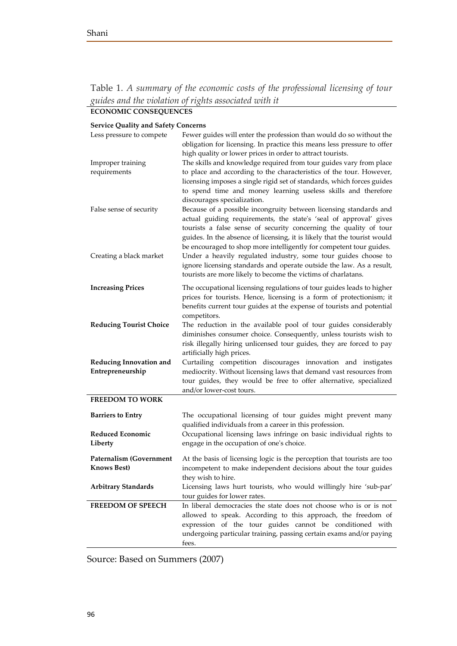Table 1. *A summary of the economic costs of the professional licensing of tour guides and the violation of rights associated with it*

# **ECONOMIC CONSEQUENCES Service Quality and Safety Concerns**

| $\alpha$ , $\alpha$ $\alpha$ $\alpha$         |                                                                                                                                                                                                                                                                                                                                                                |
|-----------------------------------------------|----------------------------------------------------------------------------------------------------------------------------------------------------------------------------------------------------------------------------------------------------------------------------------------------------------------------------------------------------------------|
| Less pressure to compete                      | Fewer guides will enter the profession than would do so without the<br>obligation for licensing. In practice this means less pressure to offer<br>high quality or lower prices in order to attract tourists.                                                                                                                                                   |
| Improper training<br>requirements             | The skills and knowledge required from tour guides vary from place<br>to place and according to the characteristics of the tour. However,<br>licensing imposes a single rigid set of standards, which forces guides<br>to spend time and money learning useless skills and therefore<br>discourages specialization.                                            |
| False sense of security                       | Because of a possible incongruity between licensing standards and<br>actual guiding requirements, the state's 'seal of approval' gives<br>tourists a false sense of security concerning the quality of tour<br>guides. In the absence of licensing, it is likely that the tourist would<br>be encouraged to shop more intelligently for competent tour guides. |
| Creating a black market                       | Under a heavily regulated industry, some tour guides choose to<br>ignore licensing standards and operate outside the law. As a result,<br>tourists are more likely to become the victims of charlatans.                                                                                                                                                        |
| <b>Increasing Prices</b>                      | The occupational licensing regulations of tour guides leads to higher<br>prices for tourists. Hence, licensing is a form of protectionism; it<br>benefits current tour guides at the expense of tourists and potential<br>competitors.                                                                                                                         |
| <b>Reducing Tourist Choice</b>                | The reduction in the available pool of tour guides considerably<br>diminishes consumer choice. Consequently, unless tourists wish to<br>risk illegally hiring unlicensed tour guides, they are forced to pay<br>artificially high prices.                                                                                                                      |
| Reducing Innovation and<br>Entrepreneurship   | Curtailing competition discourages innovation and instigates<br>mediocrity. Without licensing laws that demand vast resources from<br>tour guides, they would be free to offer alternative, specialized<br>and/or lower-cost tours.                                                                                                                            |
| <b>FREEDOM TO WORK</b>                        |                                                                                                                                                                                                                                                                                                                                                                |
| <b>Barriers to Entry</b>                      | The occupational licensing of tour guides might prevent many<br>qualified individuals from a career in this profession.                                                                                                                                                                                                                                        |
| Reduced Economic<br>Liberty                   | Occupational licensing laws infringe on basic individual rights to<br>engage in the occupation of one's choice.                                                                                                                                                                                                                                                |
| <b>Paternalism (Government</b><br>Knows Best) | At the basis of licensing logic is the perception that tourists are too<br>incompetent to make independent decisions about the tour guides<br>they wish to hire.                                                                                                                                                                                               |
| <b>Arbitrary Standards</b>                    | Licensing laws hurt tourists, who would willingly hire 'sub-par'<br>tour guides for lower rates.                                                                                                                                                                                                                                                               |
| <b>FREEDOM OF SPEECH</b>                      | In liberal democracies the state does not choose who is or is not<br>allowed to speak. According to this approach, the freedom of<br>expression of the tour guides cannot be conditioned with<br>undergoing particular training, passing certain exams and/or paying<br>fees.                                                                                  |

Source: Based on Summers (2007)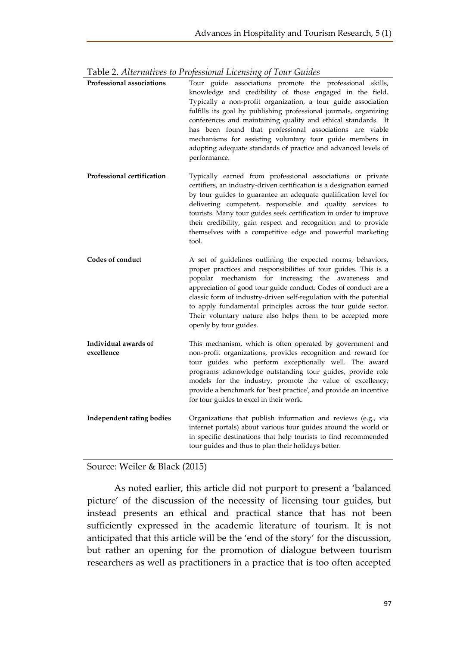| Professional associations          | Tour guide associations promote the professional skills,<br>knowledge and credibility of those engaged in the field.<br>Typically a non-profit organization, a tour guide association<br>fulfills its goal by publishing professional journals, organizing<br>conferences and maintaining quality and ethical standards. It<br>has been found that professional associations are viable<br>mechanisms for assisting voluntary tour guide members in<br>adopting adequate standards of practice and advanced levels of<br>performance. |
|------------------------------------|---------------------------------------------------------------------------------------------------------------------------------------------------------------------------------------------------------------------------------------------------------------------------------------------------------------------------------------------------------------------------------------------------------------------------------------------------------------------------------------------------------------------------------------|
| Professional certification         | Typically earned from professional associations or private<br>certifiers, an industry-driven certification is a designation earned<br>by tour guides to guarantee an adequate qualification level for<br>delivering competent, responsible and quality services to<br>tourists. Many tour guides seek certification in order to improve<br>their credibility, gain respect and recognition and to provide<br>themselves with a competitive edge and powerful marketing<br>tool.                                                       |
| Codes of conduct                   | A set of guidelines outlining the expected norms, behaviors,<br>proper practices and responsibilities of tour guides. This is a<br>popular mechanism for increasing the awareness<br>and<br>appreciation of good tour guide conduct. Codes of conduct are a<br>classic form of industry-driven self-regulation with the potential<br>to apply fundamental principles across the tour guide sector.<br>Their voluntary nature also helps them to be accepted more<br>openly by tour guides.                                            |
| Individual awards of<br>excellence | This mechanism, which is often operated by government and<br>non-profit organizations, provides recognition and reward for<br>tour guides who perform exceptionally well. The award<br>programs acknowledge outstanding tour guides, provide role<br>models for the industry, promote the value of excellency,<br>provide a benchmark for 'best practice', and provide an incentive<br>for tour guides to excel in their work.                                                                                                        |
| Independent rating bodies          | Organizations that publish information and reviews (e.g., via<br>internet portals) about various tour guides around the world or<br>in specific destinations that help tourists to find recommended<br>tour guides and thus to plan their holidays better.                                                                                                                                                                                                                                                                            |

Table 2. *Alternatives to Professional Licensing of Tour Guides*

Source: Weiler & Black (2015)

As noted earlier, this article did not purport to present a 'balanced picture' of the discussion of the necessity of licensing tour guides, but instead presents an ethical and practical stance that has not been sufficiently expressed in the academic literature of tourism. It is not anticipated that this article will be the 'end of the story' for the discussion, but rather an opening for the promotion of dialogue between tourism researchers as well as practitioners in a practice that is too often accepted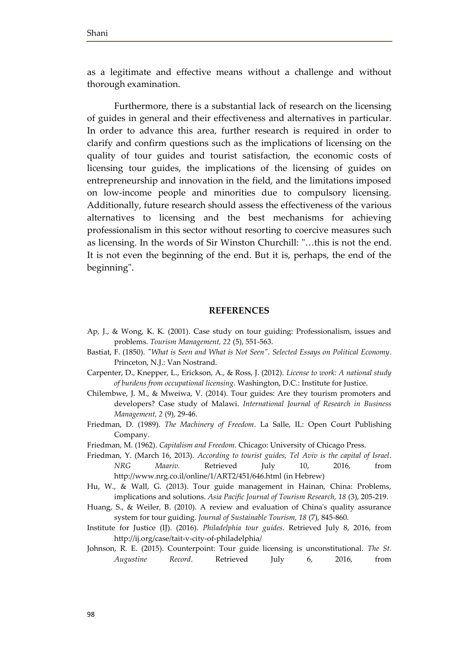as a legitimate and effective means without a challenge and without thorough examination.

Furthermore, there is a substantial lack of research on the licensing of guides in general and their effectiveness and alternatives in particular. In order to advance this area, further research is required in order to clarify and confirm questions such as the implications of licensing on the quality of tour guides and tourist satisfaction, the economic costs of licensing tour guides, the implications of the licensing of guides on entrepreneurship and innovation in the field, and the limitations imposed on low-income people and minorities due to compulsory licensing. Additionally, future research should assess the effectiveness of the various alternatives to licensing and the best mechanisms for achieving professionalism in this sector without resorting to coercive measures such as licensing. In the words of Sir Winston Churchill: "…this is not the end. It is not even the beginning of the end. But it is, perhaps, the end of the beginning".

#### **REFERENCES**

- Ap, J., & Wong, K. K. (2001). Case study on tour guiding: Professionalism, issues and problems. *Tourism Management, 22* (5), 551-563.
- Bastiat, F. (1850). *"What is Seen and What is Not Seen". Selected Essays on Political Economy*. Princeton, N.J.: Van Nostrand.
- Carpenter, D., Knepper, L., Erickson, A., & Ross, J. (2012). *License to work: A national study of burdens from occupational licensing*. Washington, D.C.: Institute for Justice.
- Chilembwe, J. M., & Mweiwa, V. (2014). Tour guides: Are they tourism promoters and developers? Case study of Malawi. *International Journal of Research in Business Management, 2* (9), 29-46.
- Friedman, D. (1989). *The Machinery of Freedom*. La Salle, IL: Open Court Publishing Company.
- Friedman, M. (1962). *Capitalism and Freedom*. Chicago: University of Chicago Press.
- Friedman, Y. (March 16, 2013). *According to tourist guides, Tel Aviv is the capital of Israel*. *NRG Maariv.* Retrieved July 10, 2016, from http://www.nrg.co.il/online/1/ART2/451/646.html (in Hebrew)
- Hu, W., & Wall, G. (2013). Tour guide management in Hainan, China: Problems, implications and solutions. *Asia Pacific Journal of Tourism Research, 18* (3), 205-219.
- Huang, S., & Weiler, B. (2010). A review and evaluation of China's quality assurance system for tour guiding. *Journal of Sustainable Tourism, 18* (7), 845-860.
- Institute for Justice (IJ). (2016). *Philadelphia tour guides*. Retrieved July 8, 2016, from http://ij.org/case/tait-v-city-of-philadelphia/
- Johnson, R. E. (2015). Counterpoint: Tour guide licensing is unconstitutional. *The St. Augustine Record*. Retrieved July 6, 2016, from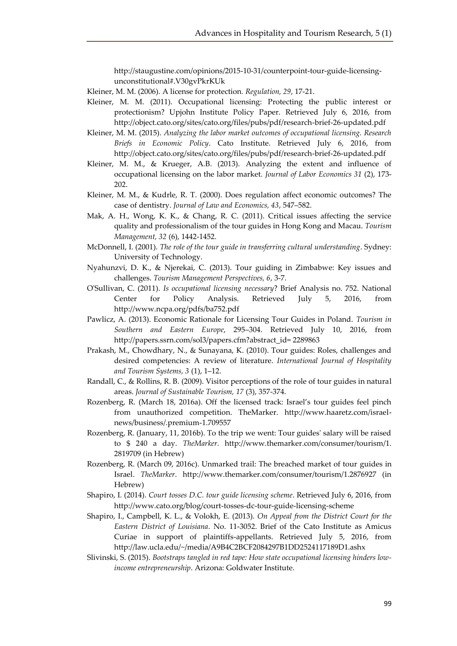http://staugustine.com/opinions/2015-10-31/counterpoint-tour-guide-licensingunconstitutional#.V30gvPkrKUk

Kleiner, M. M. (2006). A license for protection*. Regulation, 29*, 17-21.

- Kleiner, M. M. (2011). Occupational licensing: Protecting the public interest or protectionism? Upjohn Institute Policy Paper. Retrieved July 6, 2016, from http://object.cato.org/sites/cato.org/files/pubs/pdf/research-brief-26-updated.pdf
- Kleiner, M. M. (2015). *Analyzing the labor market outcomes of occupational licensing. Research Briefs in Economic Policy*. Cato Institute. Retrieved July 6, 2016, from http://object.cato.org/sites/cato.org/files/pubs/pdf/research-brief-26-updated.pdf
- Kleiner, M. M., & Krueger, A.B. (2013). Analyzing the extent and influence of occupational licensing on the labor market. *Journal of Labor Economics 31* (2), 173- 202.
- Kleiner, M. M., & Kudrle, R. T. (2000). Does regulation affect economic outcomes? The case of dentistry. *Journal of Law and Economics, 43*, 547–582.
- Mak, A. H., Wong, K. K., & Chang, R. C. (2011). Critical issues affecting the service quality and professionalism of the tour guides in Hong Kong and Macau. *Tourism Management, 32* (6), 1442-1452.
- McDonnell, I. (2001). *The role of the tour guide in transferring cultural understanding*. Sydney: University of Technology.
- Nyahunzvi, D. K., & Njerekai, C. (2013). Tour guiding in Zimbabwe: Key issues and challenges. *Tourism Management Perspectives, 6*, 3-7.
- O'Sullivan, C. (2011). *Is occupational licensing necessary*? Brief Analysis no. 752. National Center for Policy Analysis. Retrieved July 5, 2016, from http://www.ncpa.org/pdfs/ba752.pdf
- Pawlicz, A. (2013). Economic Rationale for Licensing Tour Guides in Poland. *Tourism in Southern and Eastern Europe*, 295–304. Retrieved July 10, 2016, from http://papers.ssrn.com/sol3/papers.cfm?abstract\_id= 2289863
- Prakash, M., Chowdhary, N., & Sunayana, K. (2010). Tour guides: Roles, challenges and desired competencies: A review of literature. *International Journal of Hospitality and Tourism Systems, 3* (1), 1–12.
- Randall, C., & Rollins, R. B. (2009). Visitor perceptions of the role of tour guides in natural areas. *Journal of Sustainable Tourism, 17* (3), 357-374.
- Rozenberg, R. (March 18, 2016a). Off the licensed track: Israel's tour guides feel pinch from unauthorized competition. TheMarker. http://www.haaretz.com/israelnews/business/.premium-1.709557
- Rozenberg, R. (January, 11, 2016b). To the trip we went: Tour guides' salary will be raised to \$ 240 a day. *TheMarker*. http://www.themarker.com/consumer/tourism/1. 2819709 (in Hebrew)
- Rozenberg, R. (March 09, 2016c). Unmarked trail: The breached market of tour guides in Israel. *TheMarker*. http://www.themarker.com/consumer/tourism/1.2876927 (in Hebrew)
- Shapiro, I. (2014). *Court tosses D.C. tour guide licensing scheme*. Retrieved July 6, 2016, from http://www.cato.org/blog/court-tosses-dc-tour-guide-licensing-scheme
- Shapiro, I., Campbell, K. L., & Volokh, E. (2013). *On Appeal from the District Court for the Eastern District of Louisiana*. No. 11-3052. Brief of the Cato Institute as Amicus Curiae in support of plaintiffs-appellants. Retrieved July 5, 2016, from http://law.ucla.edu/~/media/A9B4C2BCF2084297B1DD2524117189D1.ashx
- Slivinski, S. (2015). *Bootstraps tangled in red tape: How state occupational licensing hinders lowincome entrepreneurship*. Arizona: Goldwater Institute.